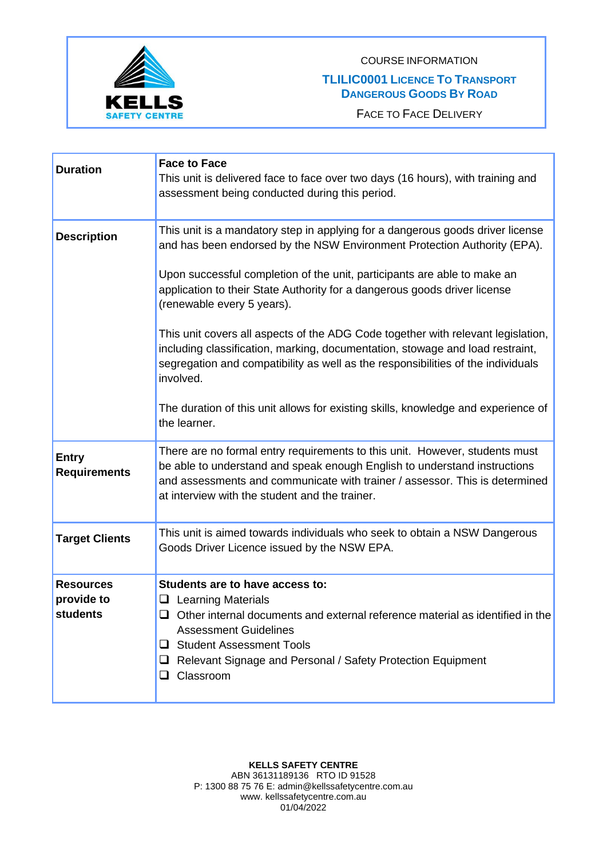

COURSE INFORMATION

## **TLILIC0001 LICENCE TO TRANSPORT DANGEROUS GOODS BY ROAD**

FACE TO FACE DELIVERY

| <b>Duration</b>                            | <b>Face to Face</b><br>This unit is delivered face to face over two days (16 hours), with training and<br>assessment being conducted during this period.                                                                                                                                                 |
|--------------------------------------------|----------------------------------------------------------------------------------------------------------------------------------------------------------------------------------------------------------------------------------------------------------------------------------------------------------|
| <b>Description</b>                         | This unit is a mandatory step in applying for a dangerous goods driver license<br>and has been endorsed by the NSW Environment Protection Authority (EPA).                                                                                                                                               |
|                                            | Upon successful completion of the unit, participants are able to make an<br>application to their State Authority for a dangerous goods driver license<br>(renewable every 5 years).                                                                                                                      |
|                                            | This unit covers all aspects of the ADG Code together with relevant legislation,<br>including classification, marking, documentation, stowage and load restraint,<br>segregation and compatibility as well as the responsibilities of the individuals<br>involved.                                       |
|                                            | The duration of this unit allows for existing skills, knowledge and experience of<br>the learner.                                                                                                                                                                                                        |
| <b>Entry</b><br><b>Requirements</b>        | There are no formal entry requirements to this unit. However, students must<br>be able to understand and speak enough English to understand instructions<br>and assessments and communicate with trainer / assessor. This is determined<br>at interview with the student and the trainer.                |
| <b>Target Clients</b>                      | This unit is aimed towards individuals who seek to obtain a NSW Dangerous<br>Goods Driver Licence issued by the NSW EPA.                                                                                                                                                                                 |
| <b>Resources</b><br>provide to<br>students | Students are to have access to:<br>$\Box$ Learning Materials<br>Other internal documents and external reference material as identified in the<br>$\Box$<br><b>Assessment Guidelines</b><br>□ Student Assessment Tools<br>Relevant Signage and Personal / Safety Protection Equipment<br>$\Box$ Classroom |

**KELLS SAFETY CENTRE**  ABN 36131189136 RTO ID 91528 P: 1300 88 75 76 E: admin@kellssafetycentre.com.au www. kellssafetycentre.com.au 01/04/2022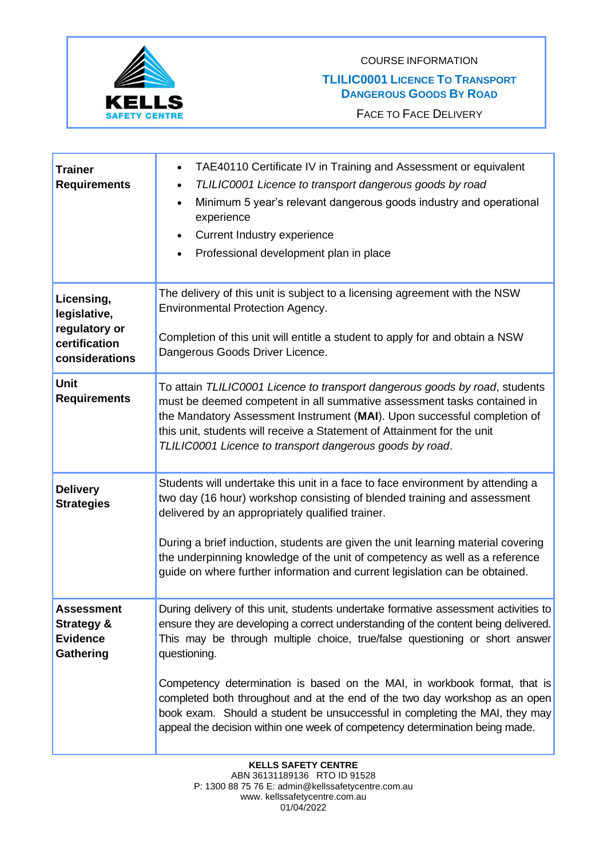



FACE TO FACE DELIVERY

| <b>Trainer</b><br><b>Requirements</b>                                          | TAE40110 Certificate IV in Training and Assessment or equivalent<br>٠<br>TLILIC0001 Licence to transport dangerous goods by road<br>$\bullet$<br>Minimum 5 year's relevant dangerous goods industry and operational<br>$\bullet$<br>experience<br><b>Current Industry experience</b><br>$\bullet$<br>Professional development plan in place<br>$\bullet$                                                                                                         |
|--------------------------------------------------------------------------------|------------------------------------------------------------------------------------------------------------------------------------------------------------------------------------------------------------------------------------------------------------------------------------------------------------------------------------------------------------------------------------------------------------------------------------------------------------------|
| Licensing,<br>legislative,<br>regulatory or<br>certification<br>considerations | The delivery of this unit is subject to a licensing agreement with the NSW<br>Environmental Protection Agency.<br>Completion of this unit will entitle a student to apply for and obtain a NSW<br>Dangerous Goods Driver Licence.                                                                                                                                                                                                                                |
| Unit<br><b>Requirements</b>                                                    | To attain TLILIC0001 Licence to transport dangerous goods by road, students<br>must be deemed competent in all summative assessment tasks contained in<br>the Mandatory Assessment Instrument (MAI). Upon successful completion of<br>this unit, students will receive a Statement of Attainment for the unit<br>TLILIC0001 Licence to transport dangerous goods by road.                                                                                        |
| <b>Delivery</b><br><b>Strategies</b>                                           | Students will undertake this unit in a face to face environment by attending a<br>two day (16 hour) workshop consisting of blended training and assessment<br>delivered by an appropriately qualified trainer.<br>During a brief induction, students are given the unit learning material covering<br>the underpinning knowledge of the unit of competency as well as a reference<br>guide on where further information and current legislation can be obtained. |
| <b>Assessment</b><br><b>Strategy &amp;</b><br><b>Evidence</b><br>Gathering     | During delivery of this unit, students undertake formative assessment activities to<br>ensure they are developing a correct understanding of the content being delivered.<br>This may be through multiple choice, true/false questioning or short answer<br>questioning.                                                                                                                                                                                         |
|                                                                                | Competency determination is based on the MAI, in workbook format, that is<br>completed both throughout and at the end of the two day workshop as an open<br>book exam. Should a student be unsuccessful in completing the MAI, they may<br>appeal the decision within one week of competency determination being made.                                                                                                                                           |